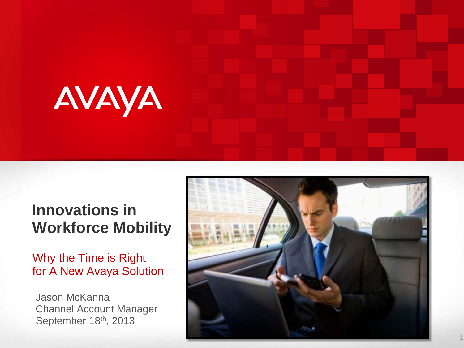

### **Innovations in Workforce Mobility**

Why the Time is Right for A New Avaya Solution

Jason McKanna Channel Account Manager September 18th, 2013

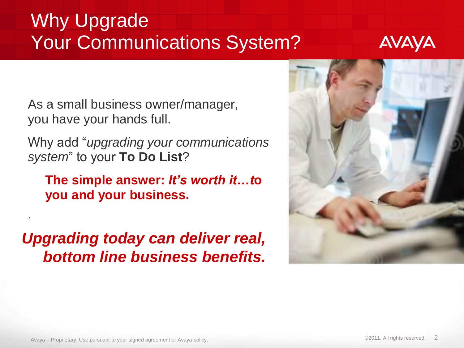## Why Upgrade Your Communications System?



As a small business owner/manager, you have your hands full.

Why add "*upgrading your communications system*" to your **To Do List**?

**The simple answer:** *It's worth it…t***o you and your business.** 

*Upgrading today can deliver real, bottom line business benefits.*



.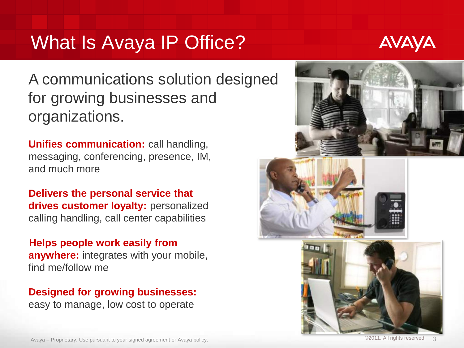## What Is Avaya IP Office?



A communications solution designed for growing businesses and organizations.

**Unifies communication:** call handling, messaging, conferencing, presence, IM, and much more

**Delivers the personal service that drives customer loyalty:** personalized calling handling, call center capabilities

**Helps people work easily from anywhere:** integrates with your mobile, find me/follow me

#### **Designed for growing businesses:**

easy to manage, low cost to operate

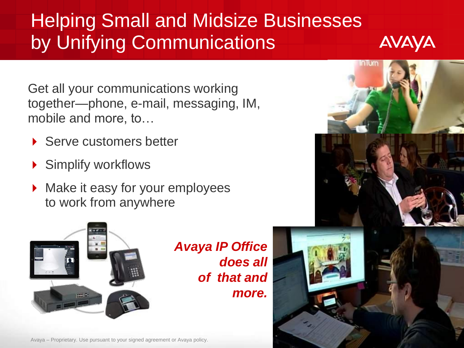## Helping Small and Midsize Businesses by Unifying Communications



Get all your communications working together—phone, e-mail, messaging, IM, mobile and more, to…

- ▶ Serve customers better
- Simplify workflows
- Make it easy for your employees to work from anywhere



*Avaya IP Office does all of that and more.*



Avaya – Proprietary. Use pursuant to your signed agreement or Avaya policy.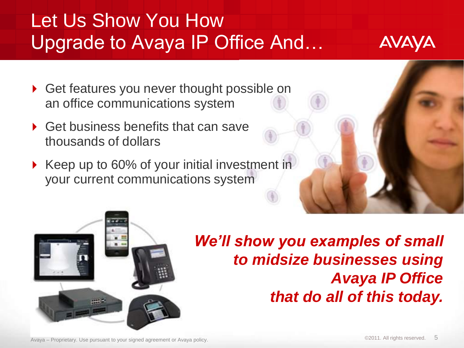## Let Us Show You How Upgrade to Avaya IP Office And…

- ▶ Get features you never thought possible on an office communications system
- ▶ Get business benefits that can save thousands of dollars
- ▶ Keep up to 60% of your initial investment in your current communications system



*We'll show you examples of small to midsize businesses using Avaya IP Office that do all of this today.*

Avaya – Proprietary. Use pursuant to your signed agreement or Avaya policy. ©2011. All rights reserved.

AVAYA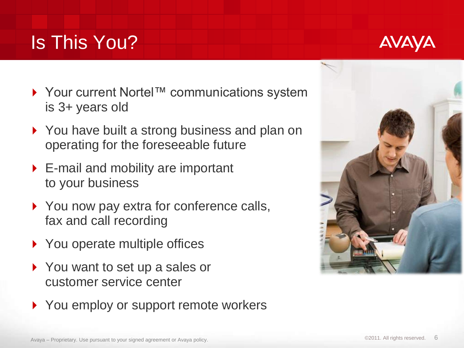## Is This You?

- ▶ Your current Nortel™ communications system is 3+ years old
- ▶ You have built a strong business and plan on operating for the foreseeable future
- ▶ E-mail and mobility are important to your business
- ▶ You now pay extra for conference calls, fax and call recording
- ▶ You operate multiple offices
- ▶ You want to set up a sales or customer service center
- ▶ You employ or support remote workers





AVAYA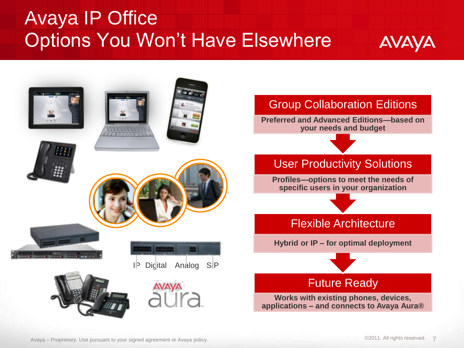## Avaya IP Office Options You Won't Have Elsewhere



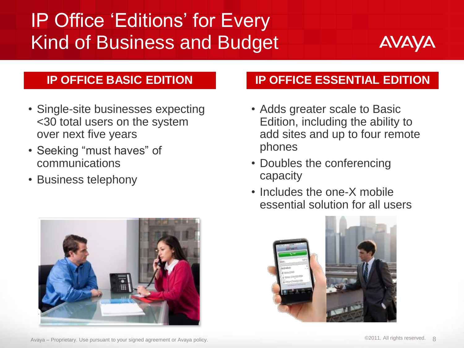## IP Office 'Editions' for Every Kind of Business and Budget



#### **IP OFFICE BASIC EDITION**

- Single-site businesses expecting <30 total users on the system over next five years
- Seeking "must haves" of communications
- Business telephony



#### **IP OFFICE ESSENTIAL EDITION**

- Adds greater scale to Basic Edition, including the ability to add sites and up to four remote phones
- Doubles the conferencing capacity
- Includes the one-X mobile essential solution for all users

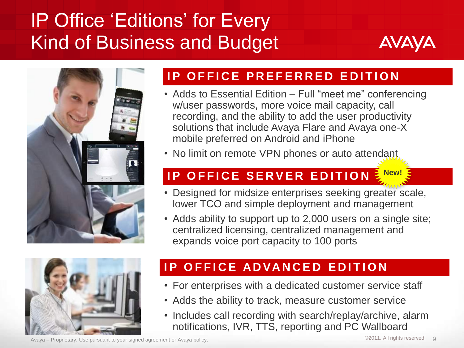## IP Office 'Editions' for Every Kind of Business and Budget







- Adds to Essential Edition Full "meet me" conferencing w/user passwords, more voice mail capacity, call recording, and the ability to add the user productivity solutions that include Avaya Flare and Avaya one-X mobile preferred on Android and iPhone
- No limit on remote VPN phones or auto attendant

#### **IP OFFICE SERVER EDITION New!**

- Designed for midsize enterprises seeking greater scale, lower TCO and simple deployment and management
- Adds ability to support up to 2,000 users on a single site; centralized licensing, centralized management and expands voice port capacity to 100 ports



#### **IP OFFICE ADVANCED EDITION**

- For enterprises with a dedicated customer service staff
- Adds the ability to track, measure customer service
- Includes call recording with search/replay/archive, alarm notifications, IVR, TTS, reporting and PC Wallboard

Avaya – Proprietary. Use pursuant to your signed agreement or Avaya policy.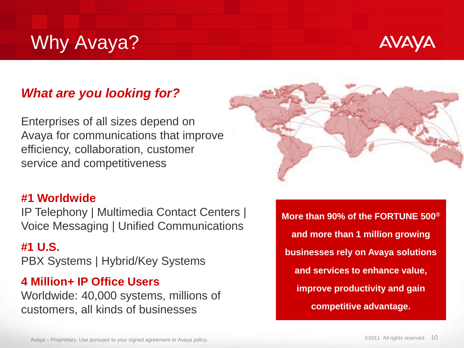## Why Avaya?



#### *What are you looking for?*

Enterprises of all sizes depend on Avaya for communications that improve efficiency, collaboration, customer service and competitiveness

#### **#1 Worldwide**

IP Telephony | Multimedia Contact Centers | Voice Messaging | Unified Communications

#### **#1 U.S.**

PBX Systems | Hybrid/Key Systems

#### **4 Million+ IP Office Users**

Worldwide: 40,000 systems, millions of customers, all kinds of businesses

**More than 90% of the FORTUNE 500® and more than 1 million growing businesses rely on Avaya solutions and services to enhance value, improve productivity and gain competitive advantage.**